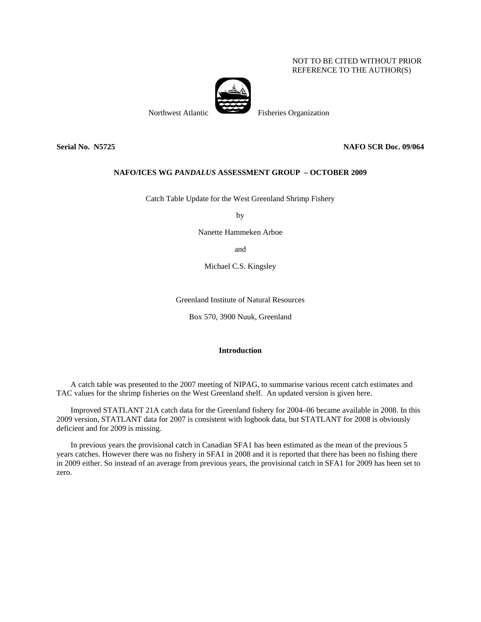## NOT TO BE CITED WITHOUT PRIOR REFERENCE TO THE AUTHOR(S)



Northwest Atlantic Fisheries Organization

**Serial No. N5725 NAFO SCR Doc. 09/064** 

## **NAFO/ICES WG** *PANDALUS* **ASSESSMENT GROUP – OCTOBER 2009**

Catch Table Update for the West Greenland Shrimp Fishery

by

Nanette Hammeken Arboe

and

Michael C.S. Kingsley

Greenland Institute of Natural Resources

Box 570, 3900 Nuuk, Greenland

## **Introduction**

A catch table was presented to the 2007 meeting of NIPAG, to summarise various recent catch estimates and TAC values for the shrimp fisheries on the West Greenland shelf. An updated version is given here.

Improved STATLANT 21A catch data for the Greenland fishery for 2004–06 became available in 2008. In this 2009 version, STATLANT data for 2007 is consistent with logbook data, but STATLANT for 2008 is obviously deficient and for 2009 is missing.

In previous years the provisional catch in Canadian SFA1 has been estimated as the mean of the previous 5 years catches. However there was no fishery in SFA1 in 2008 and it is reported that there has been no fishing there in 2009 either. So instead of an average from previous years, the provisional catch in SFA1 for 2009 has been set to zero.